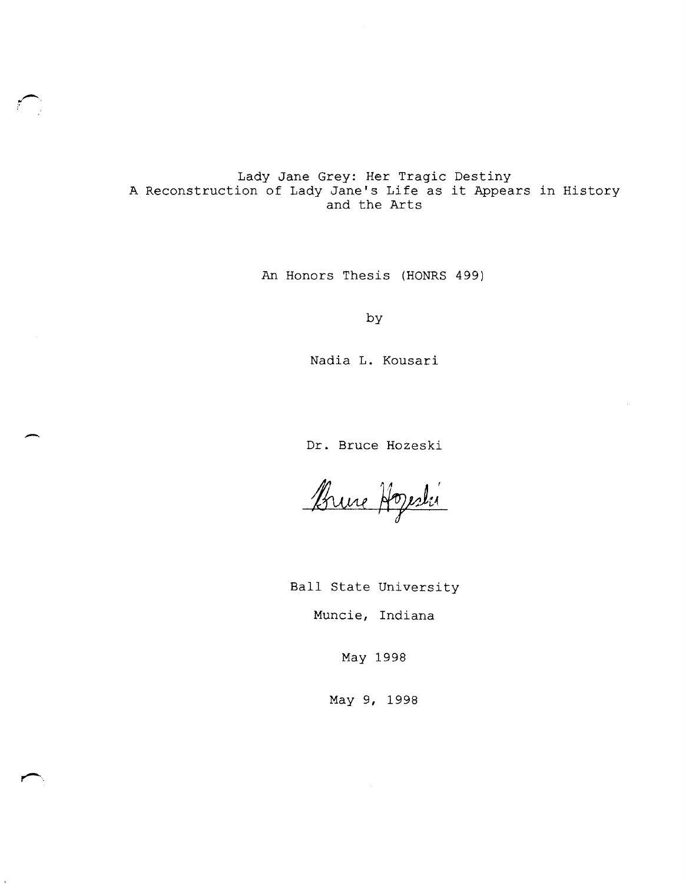## Lady Jane Grey: Her Tragic Destiny A Reconstruction of Lady Jane's Life as it Appears in History and the Arts

 $\sim$ 

 $\overline{\phantom{0}}$ 

An Honors Thesis (HONRS 499)

by

Nadia L. Kousari

Dr. Bruce Hozeski

Brune Hogesli

Ball state University Muncie, Indiana

May 1998

May 9, 1998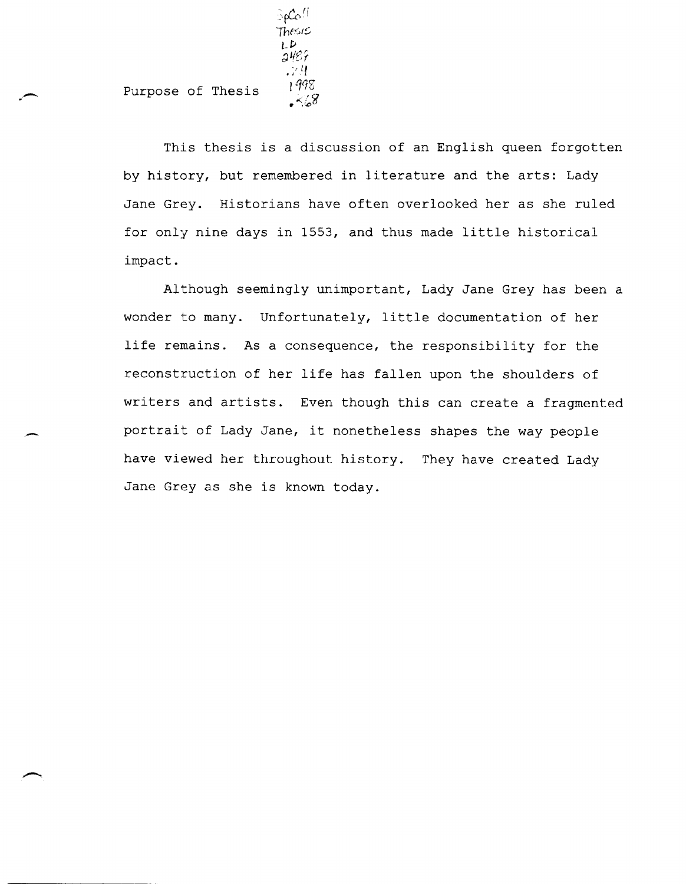Purpose of Thesis

Thesis  $\epsilon$ LP  $2487$  $.74$ 

> 1998 .≺68

 $\Im\mathcal{L}\circ^{/\mathcal{C}}$ 

This thesis is a discussion of an English queen forgotten by history, but remembered in literature and the arts: Lady Jane Grey. Historians have often overlooked her as she ruled for only nine days in 1553, and thus made little historical impact.

Although seemingly unimportant, Lady Jane Grey has been a wonder to many. Unfortunately, little documentation of her life remains. As a consequence, the responsibility for the reconstruction of her life has fallen upon the shoulders of writers and artists. Even though this can create a fragmented portrait of Lady Jane, it nonetheless shapes the way people have viewed her throughout history. They have created Lady Jane Grey as she is known today.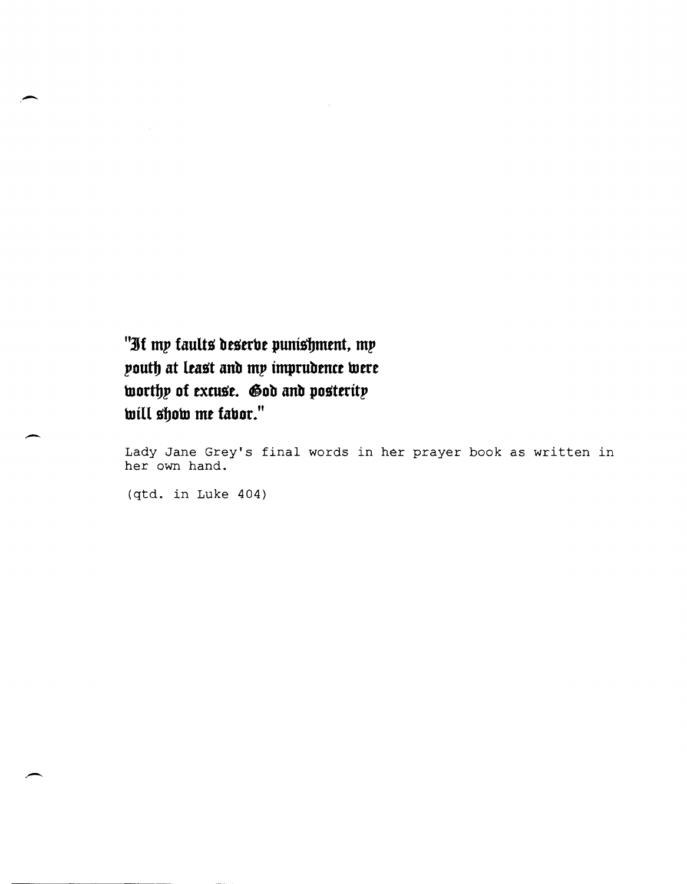"If my faults deserbe punishment, my  $p$ outh at least and my imprudence were **worthy of excuse. God and posterity**  $w$ ill show me fabor."

Lady Jane Grey's final words in her prayer book as written in her own hand.

(qtd. in Luke 404)

-

-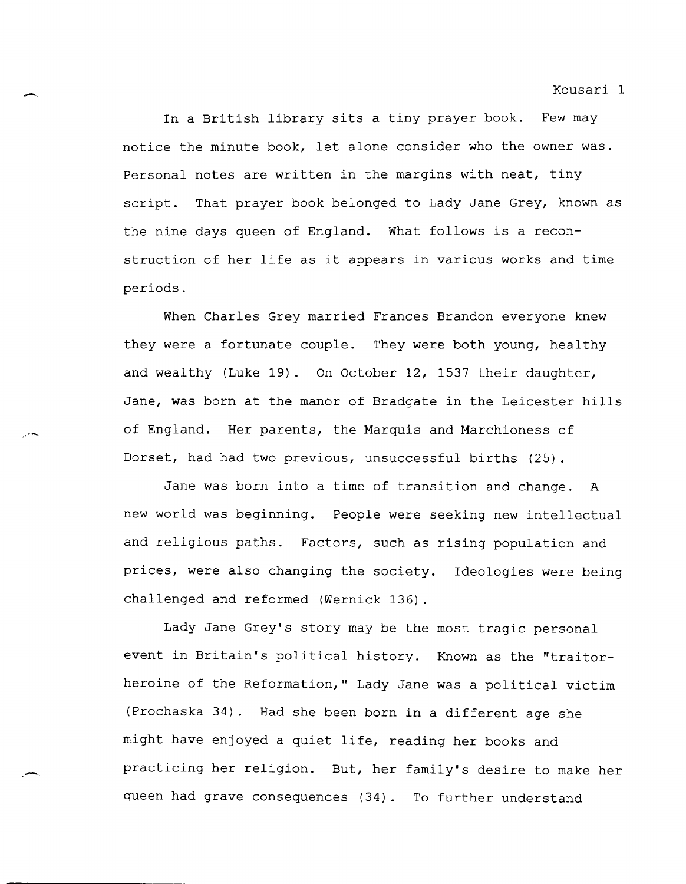In a British library sits a tiny prayer book. Few may notice the minute book, let alone consider who the owner was. Personal notes are written in the margins with neat, tiny script. That prayer book belonged to Lady Jane Grey, known as the nine days queen of England. What follows is a reconstruction of her life as it appears in various works and time periods.

-.

When Charles Grey married Frances Brandon everyone knew they were a fortunate couple. They were both young, healthy and wealthy (Luke 19). On October 12, 1537 their daughter, Jane, was born at the manor of Bradgate in the Leicester hills of England. Her parents, the Marquis and Marchioness of Dorset, had had two previous, unsuccessful births (25).

Jane was born into a time of transition and change. A new world was beginning. People were seeking new intellectual and religious paths. Factors, such as rising population and prices, were also changing the society. Ideologies were being challenged and reformed (Wernick 136) .

Lady Jane Grey's story may be the most tragic personal event in Britain's political history. Known as the "traitorheroine of the Reformation," Lady Jane was a political victim (Prochaska 34). Had she been born in a different age she might have enjoyed a quiet life, reading her books and practicing her religion. But, her family's desire to make her queen had grave consequences (34). To further understand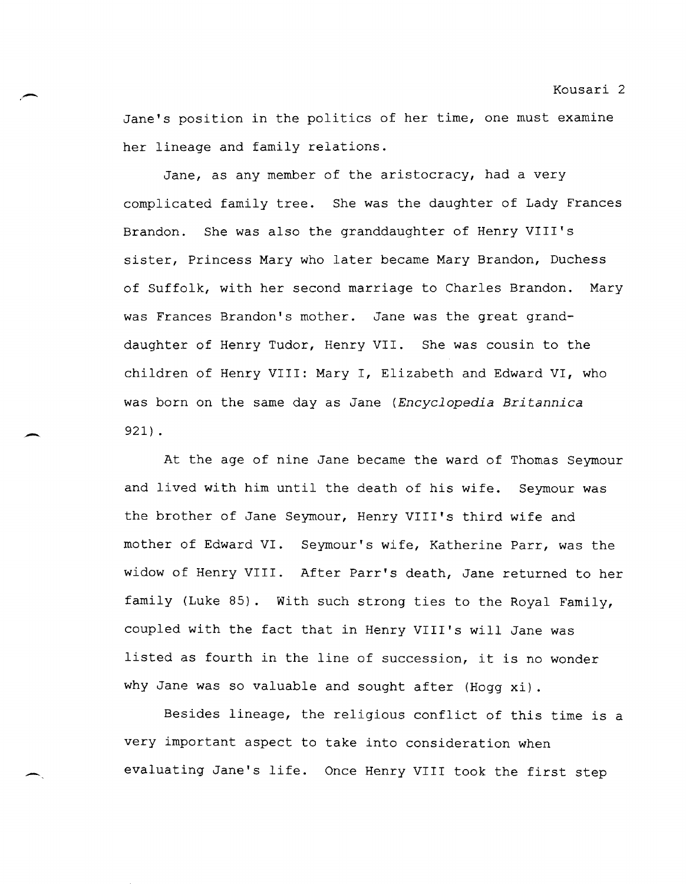Jane's position in the politics of her time, one must examine her lineage and family relations.

.-

-

--

Jane, as any member of the aristocracy, had a very complicated family tree. She was the daughter of Lady Frances Brandon. She was also the granddaughter of Henry VIII's sister, Princess Mary who later became Mary Brandon, Duchess of Suffolk, with her second marriage to Charles Brandon. Mary was Frances Brandon's mother. Jane was the great granddaughter of Henry Tudor, Henry VII. She was cousin to the children of Henry VIII: Mary I, Elizabeth and Edward VI, who was born on the same day as Jane *(Encyclopedia Britannica*  921) .

At the age of nine Jane became the ward of Thomas Seymour and lived with him until the death of his wife. Seymour was the brother of Jane Seymour, Henry VIII's third wife and mother of Edward VI. Seymour's wife, Katherine Parr, was the widow of Henry VIII. After Parr's death, Jane returned to her family (Luke 85). With such strong ties to the Royal Family, coupled with the fact that in Henry VIII's will Jane was listed as fourth in the line of succession, it is no wonder why Jane was so valuable and sought after (Hogg xi) .

Besides lineage, the religious conflict of this time is a very important aspect to take into consideration when evaluating Jane's life. Once Henry VIII took the first step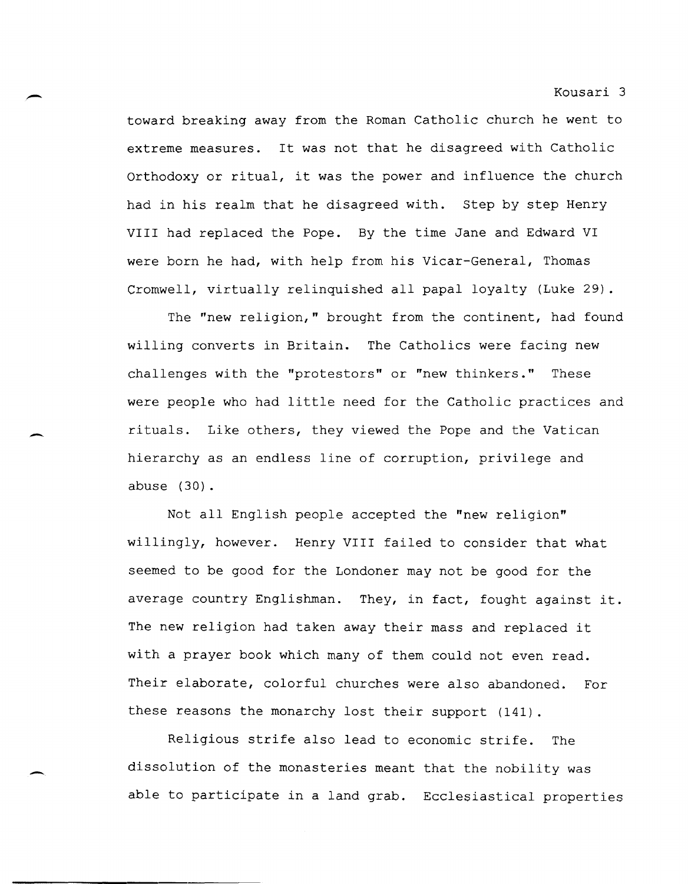toward breaking away from the Roman Catholic church he went to extreme measures. It was not that he disagreed with Catholic Orthodoxy or ritual, it was the power and influence the church had in his realm that he disagreed with. step by step Henry VIII had replaced the Pope. By the time Jane and Edward VI were born he had, with help from his Vicar-General, Thomas Cromwell, virtually relinquished all papal loyalty (Luke 29).

The "new religion," brought from the continent, had found willing converts in Britain. The Catholics were facing new challenges with the "protestors" or "new thinkers." These were people who had little need for the Catholic practices and rituals. Like others, they viewed the Pope and the Vatican hierarchy as an endless line of corruption, privilege and abuse (30).

Not all English people accepted the "new religion" willingly, however. Henry VIII failed to consider that what seemed to be good for the Londoner may not be good for the average country Englishman. They, in fact, fought against it. The new religion had taken away their mass and replaced it with a prayer book which many of them could not even read. Their elaborate, colorful churches were also abandoned. For these reasons the monarchy lost their support (141).

Religious strife also lead to economic strife. The dissolution of the monasteries meant that the nobility was able to participate in a land grab. Ecclesiastical properties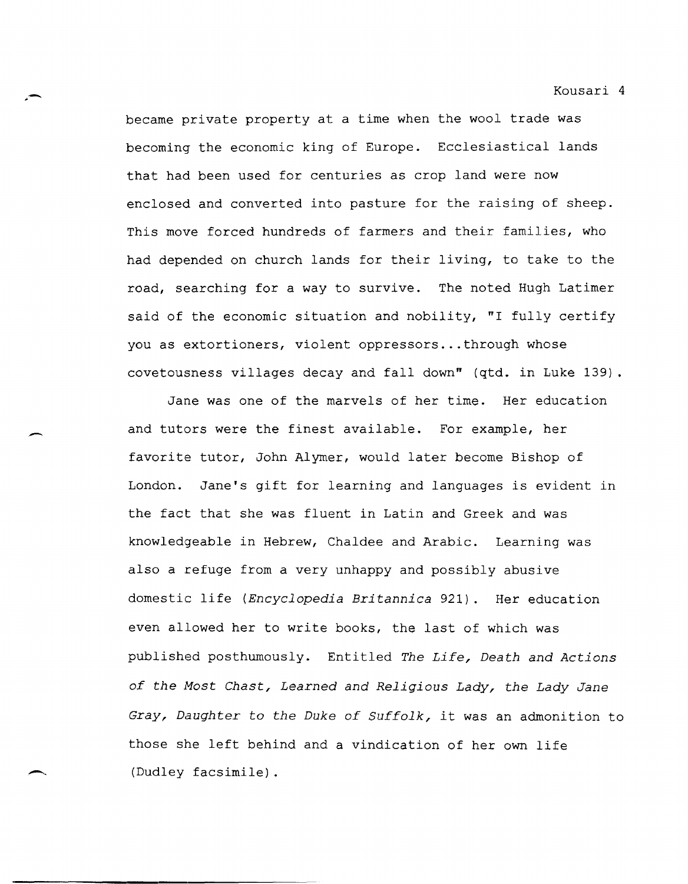became private property at a time when the wool trade was becoming the economic king of Europe. Ecclesiastical lands that had been used for centuries as crop land were now enclosed and converted into pasture for the raising of sheep. This move forced hundreds of farmers and their families, who had depended on church lands for their living, to take to the road, searching for a way to survive. The noted Hugh Latimer said of the economic situation and nobility, "I fully certify you as extortioners, violent oppressors ... through whose covetousness villages decay and fall down" (qtd. in Luke 139) .

.. -

-

**------------------------------------------**

Jane was one of the marvels of her time. Her education and tutors were the finest available. For example, her favorite tutor, John Alymer, would later become Bishop of London. Jane's gift for learning and languages is evident in the fact that she was fluent in Latin and Greek and was knowledgeable in Hebrew, Chaldee and Arabic. Learning was also a refuge from a very unhappy and possibly abusive domestic life *(Encyclopedia Britannica* 921). Her education even allowed her to write books, the last of which was published posthumously. Entitled *The Life, Death and Actions of the Most Chast, Learned and Religious Lady, the Lady Jane Gray, Daughter* to *the Duke of Suffolk,* it was an admonition to those she left behind and a vindication of her own life (Dudley facsimile) .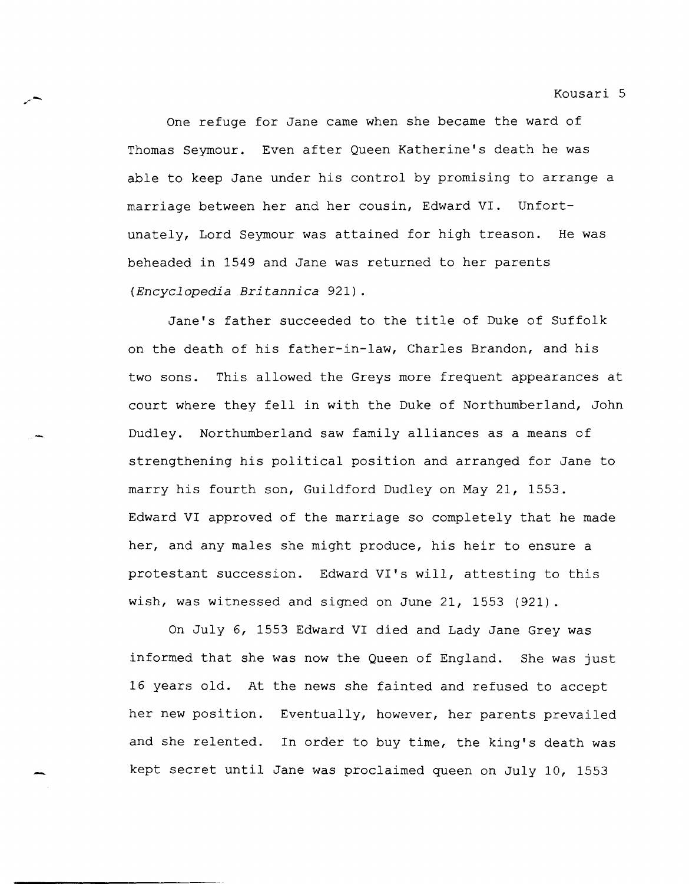One refuge for Jane came when she became the ward of Thomas Seymour. Even after Queen Katherine's death he was able to keep Jane under his control by promising to arrange a marriage between her and her cousin, Edward VI. Unfortunately, Lord Seymour was attained for high treason. He was beheaded in 1549 and Jane was returned to her parents *(Encyclopedia Britannica* 921).

Jane's father succeeded to the title of Duke of Suffolk on the death of his father-in-law, Charles Brandon, and his two sons. This allowed the Greys more frequent appearances at court where they fell in with the Duke of Northumberland, John Dudley. Northumberland saw family alliances as a means of strengthening his political position and arranged for Jane to marry his fourth son, Guildford Dudley on May 21, 1553. Edward VI approved of the marriage so completely that he made her, and any males she might produce, his heir to ensure a protestant succession. Edward VI's will, attesting to this wish, was witnessed and signed on June 21, 1553 (921).

On July 6, 1553 Edward VI died and Lady Jane Grey was informed that she was now the Queen of England. She was just 16 years old. At the news she fainted and refused to accept her new position. Eventually, however, her parents prevailed and she relented. In order to buy time, the king's death was kept secret until Jane was proclaimed queen on July 10, 1553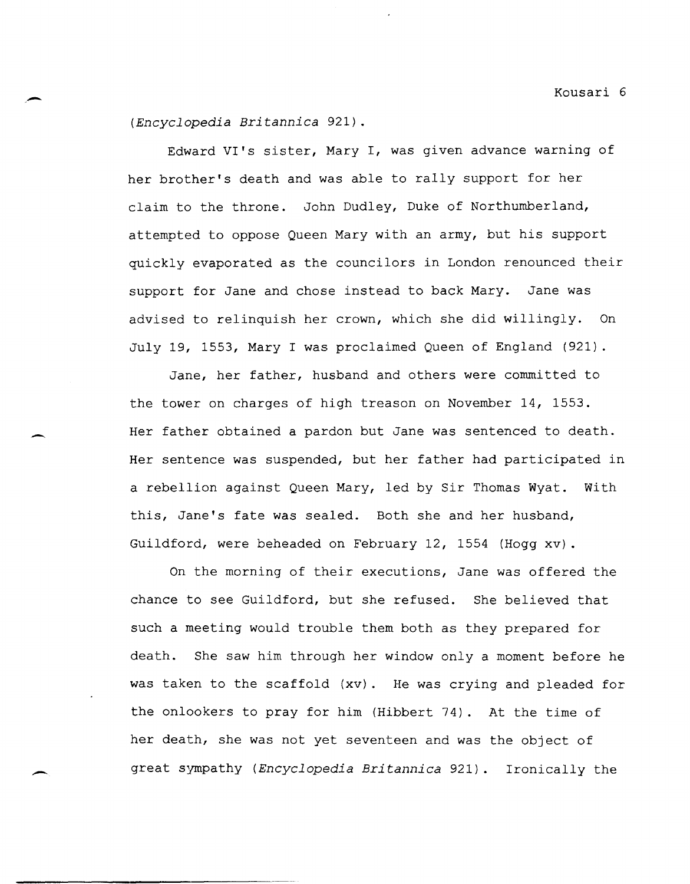*(Encyclopedia Britannica* 921).

Edward VI's sister, Mary I, was given advance warning of her brother's death and was able to rally support for her claim to the throne. John Dudley, Duke of Northumberland, attempted to oppose Queen Mary with an army, but his support quickly evaporated as the councilors in London renounced their support for Jane and chose instead to back Mary. Jane was advised to relinquish her crown, which she did willingly. On July 19, 1553, Mary I was proclaimed Queen of England (921).

Jane, her father, husband and others were committed to the tower on charges of high treason on November 14, 1553. Her father obtained a pardon but Jane was sentenced to death. Her sentence was suspended, but her father had participated in a rebellion against Queen Mary, led by Sir Thomas Wyat. With this, Jane's fate was sealed. Both she and her husband, Guildford, were beheaded on February 12, 1554 (Hogg xv) .

On the morning of their executions, Jane was offered the chance to see Guildford, but she refused. She believed that such a meeting would trouble them both as they prepared for death. She saw him through her window only a moment before he was taken to the scaffold (xv). He was crying and pleaded for the onlookers to pray for him (Hibbert 74). At the time of her death, she was not yet seventeen and was the object of great sympathy *(Encyclopedia Britannica* 921). Ironically the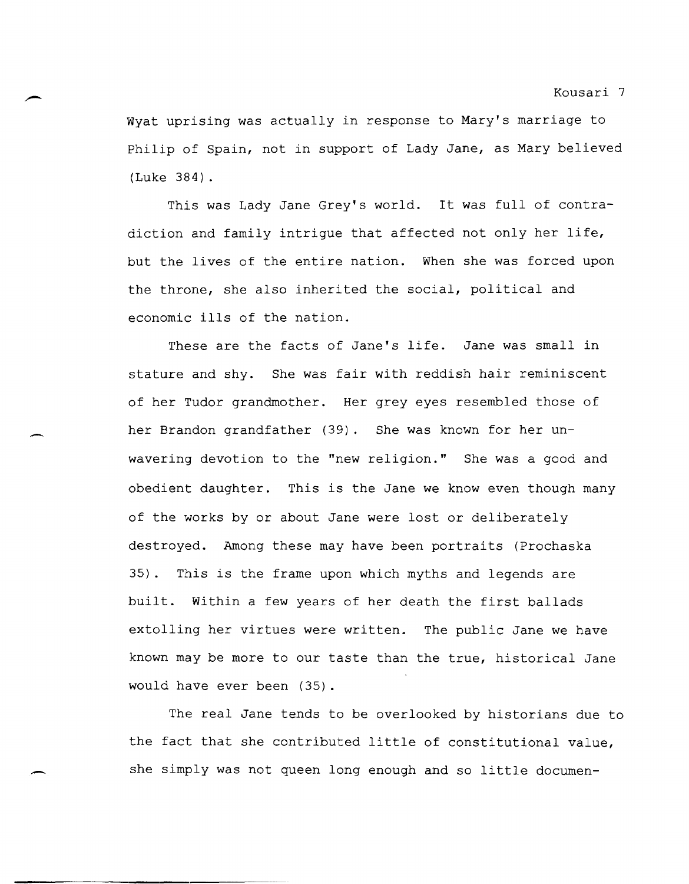Wyat uprising was actually in response to Mary's marriage to Philip of Spain, not in support of Lady Jane, as Mary believed (Luke 384).

This was Lady Jane Grey's world. It was full of contradiction and family intrigue that affected not only her life, but the lives of the entire nation. When she was forced upon the throne, she also inherited the social, political and economic ills of the nation.

These are the facts of Jane's life. Jane was small in stature and shy. She was fair with reddish hair reminiscent of her Tudor grandmother. Her grey eyes resembled those of her Brandon grandfather (39). She was known for her unwavering devotion to the "new religion." She was a good and obedient daughter. This is the Jane we know even though many of the works by or about Jane were lost or deliberately destroyed. Among these may have been portraits (Prochaska 35). This is the frame upon which myths and legends are built. Within a few years of her death the first ballads extolling her virtues were written. The public Jane we have known may be more to our taste than the true, historical Jane would have ever been (35).

The real Jane tends to be overlooked by historians due to the fact that she contributed little of constitutional value, she simply was not queen long enough and so little documen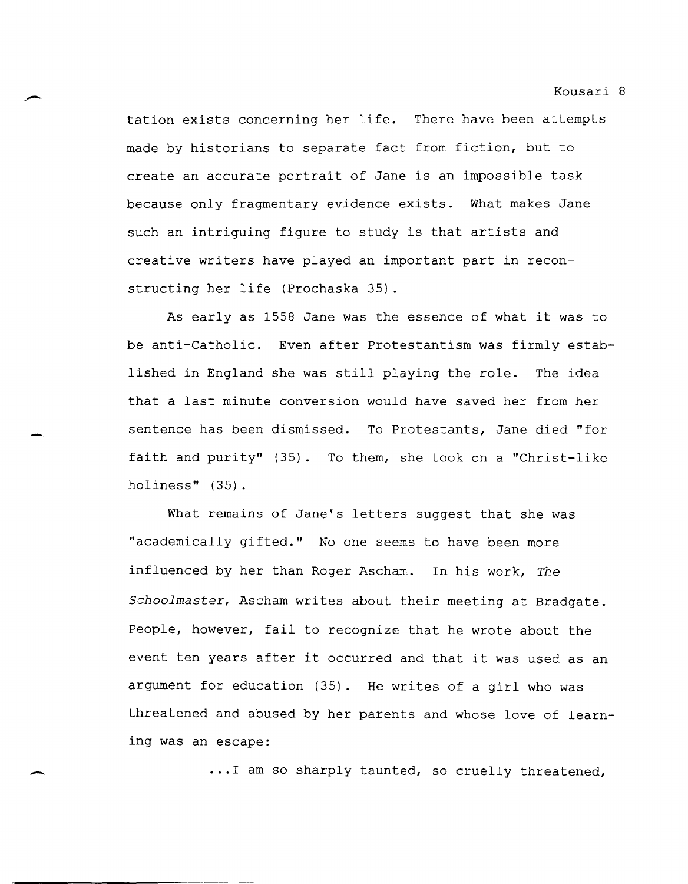tation exists concerning her life. There have been attempts made by historians to separate fact from fiction, but to create an accurate portrait of Jane is an impossible task because only fragmentary evidence exists. What makes Jane such an intriguing figure to study is that artists and creative writers have played an important part in reconstructing her life (Prochaska 35) .

.-

-

As early as 1558 Jane was the essence of what it was to be anti-Catholic. Even after Protestantism was firmly established in England she was still playing the role. The idea that a last minute conversion would have saved her from her sentence has been dismissed. To Protestants, Jane died "for faith and purity" (35). To them, she took on a "Christ-like holiness" (35).

What remains of Jane's letters suggest that she was "academically gifted." No one seems to have been more influenced by her than Roger Ascham. In his work, *The Schoolmaster,* Ascham writes about their meeting at Bradgate. People, however, fail to recognize that he wrote about the event ten years after it occurred and that it was used as an argument for education (35). He writes of a girl who was threatened and abused by her parents and whose love of learning was an escape:

**... 1** am so sharply taunted, so cruelly threatened,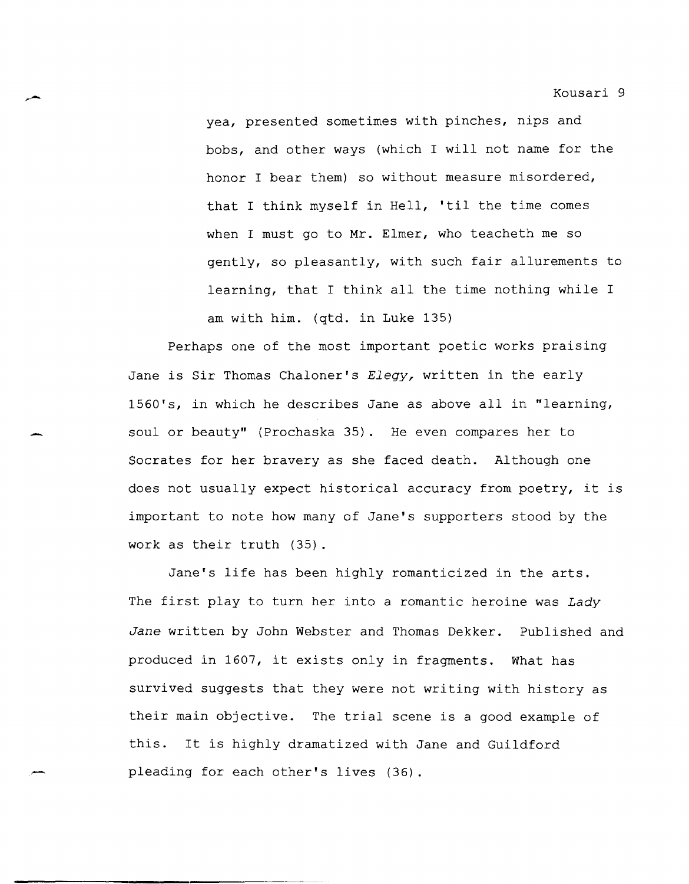yea, presented sometimes with pinches, nips and bobs, and other ways (which I will not name for the honor I bear them) so without measure misordered, that I think myself in Hell, 'til the time comes when I must go to Mr. Elmer, who teacheth me so gently, so pleasantly, with such fair allurements to learning, that I think all the time nothing while I am with him. (qtd. in Luke 135)

Perhaps one of the most important poetic works praising Jane is Sir Thomas Chaloner's *Elegy,* written in the early 1560's, in which he describes Jane as above all in "learning, soul or beauty" (Prochaska 35). He even compares her to Socrates for her bravery as she faced death. Although one does not usually expect historical accuracy from poetry, it is important to note how many of Jane's supporters stood by the work as their truth (35).

Jane's life has been highly romanticized in the arts. The first play to turn her into a romantic heroine was *Lady Jane* written by John Webster and Thomas Dekker. Published and produced in 1607, it exists only in fragments. What has survived suggests that they were not writing with history as their main objective. The trial scene is a good example of this. It is highly dramatized with Jane and Guildford pleading for each other's lives (36).

-<br>مسير<br>-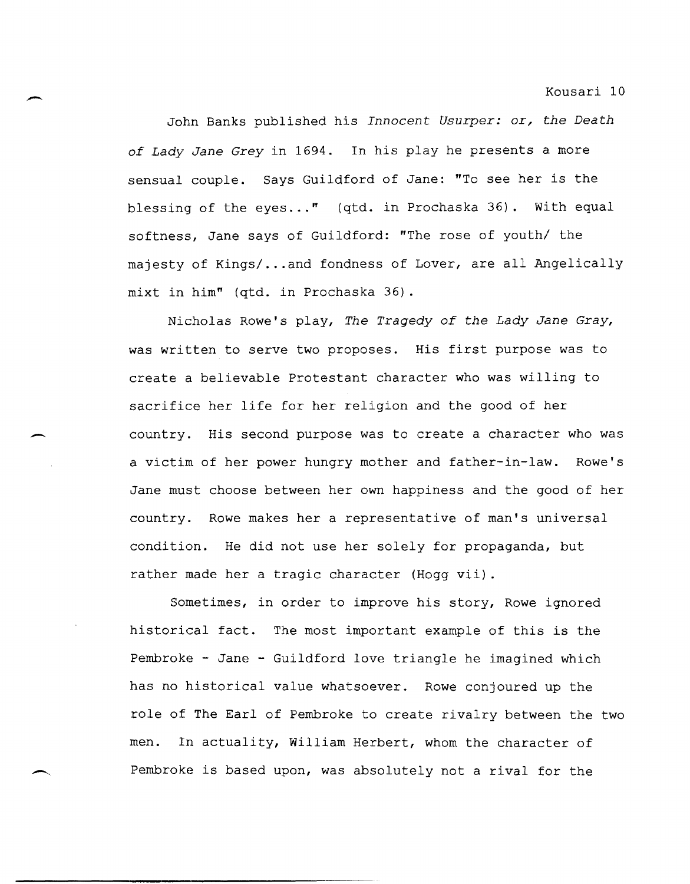John Banks published his *Innocent Usurper: or, the Death of Lady Jane Grey* in 1694. In his play he presents a more sensual couple. Says Guildford of Jane: "To see her is the blessing of the eyes..." (qtd. in Prochaska 36). With equal softness, Jane says of Guildford: "The rose of youth/ the majesty of Kings/ ... and fondness of Lover, are all Angelically mixt in him" (qtd. in Prochaska 36) .

-

-

 $\overline{\phantom{0}}$ 

**-------------------------.--------------------------**

Nicholas Rowe's play, *The Tragedy of the Lady Jane Gray,*  was written to serve two proposes. His first purpose was to create a believable Protestant character who was willing to sacrifice her life for her religion and the good of her country. His second purpose was to create a character who was a victim of her power hungry mother and father-in-law. Rowe's Jane must choose between her own happiness and the good of her country. Rowe makes her a representative of man's universal condition. He did not use her solely for propaganda, but rather made her a tragic character (Hogg vii) .

Sometimes, in order to improve his story, Rowe ignored historical fact. The most important example of this is the Pembroke - Jane - Guildford love triangle he imagined which has no historical value whatsoever. Rowe conjoured up the role of The Earl of Pembroke to create rivalry between the two men. In actuality, William Herbert, whom the character of Pembroke is based upon, was absolutely not a rival for the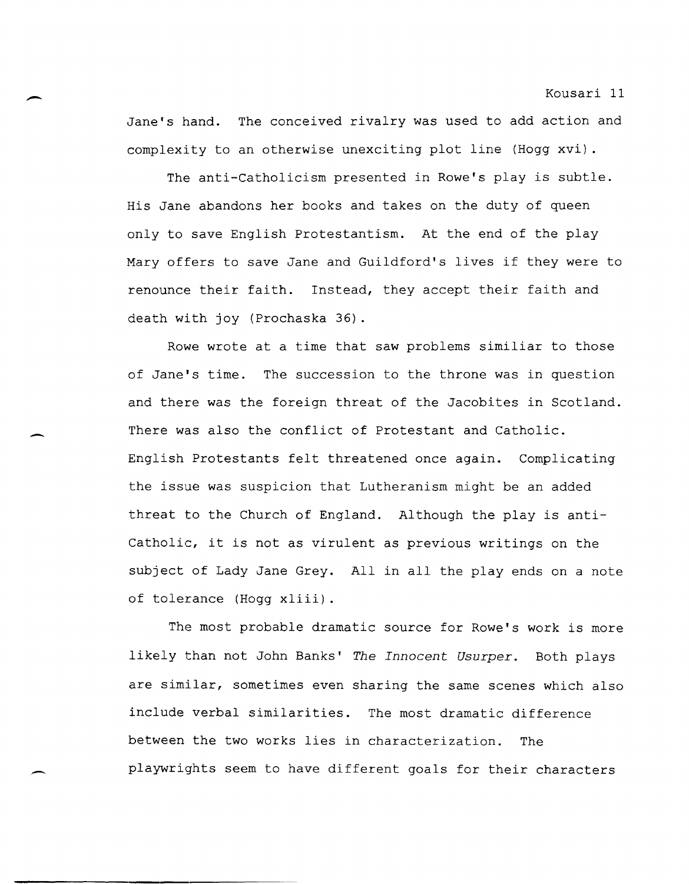Jane's hand. The conceived rivalry was used to add action and complexity to an otherwise unexciting plot line (Hogg xvi) .

The anti-Catholicism presented in Rowe's play is subtle. His Jane abandons her books and takes on the duty of queen only to save English Protestantism. At the end of the play Mary offers to save Jane and Guildford's lives if they were to renounce their faith. Instead, they accept their faith and death with joy (Prochaska 36).

Rowe wrote at a time that saw problems similiar to those of Jane's time. The succession to the throne was in question and there was the foreign threat of the Jacobites in Scotland. There was also the conflict of Protestant and Catholic. English Protestants felt threatened once again. Complicating the issue was suspicion that Lutheranism might be an added threat to the Church of England. Although the play is anti-Catholic, it is not as virulent as previous writings on the subject of Lady Jane Grey. All in all the play ends on a note of tolerance (Hogg xliii) .

The most probable dramatic source for Rowe's work is more likely than not John Banks' *The Innocent Usurper.* Both plays are similar, sometimes even sharing the same scenes which also include verbal similarities. The most dramatic difference between the two works lies in characterization. The playwrights seem to have different goals for their characters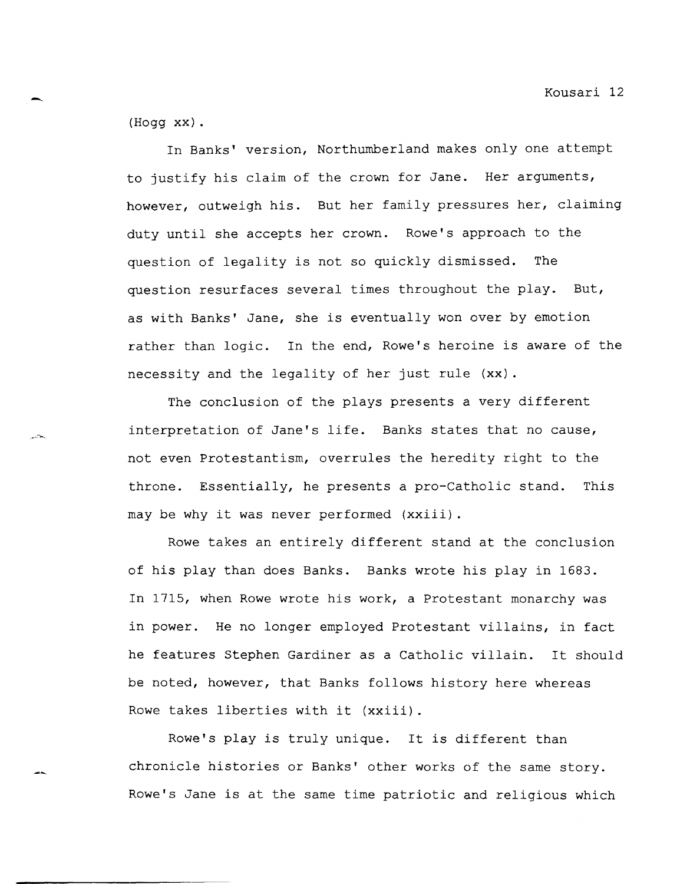(Hogg xx) .

In Banks' version, Northumberland makes only one attempt to justify his claim of the crown for Jane. Her arguments, however, outweigh his. But her family pressures her, claiming duty until she accepts her crown. Rowe's approach to the question of legality is not so quickly dismissed. The question resurfaces several times throughout the play. But, as with Banks' Jane, she is eventually won over by emotion rather than logic. In the end, Rowe's heroine is aware of the necessity and the legality of her just rule (xx).

The conclusion of the plays presents a very different interpretation of Jane's life. Banks states that no cause, not even Protestantism, overrules the heredity right to the throne. Essentially, he presents a pro-Catholic stand. This may be why it was never performed (xxiii).

Rowe takes an entirely different stand at the conclusion of his play than does Banks. Banks wrote his play in 1683. In 1715, when Rowe wrote his work, a Protestant monarchy was in power. He no longer employed Protestant villains, in fact he features Stephen Gardiner as a Catholic villain. It should be noted, however, that Banks follows history here whereas Rowe takes liberties with it (xxiii).

Rowe's play is truly unique. It is different than chronicle histories or Banks' other works of the same story. Rowe's Jane is at the same time patriotic and religious which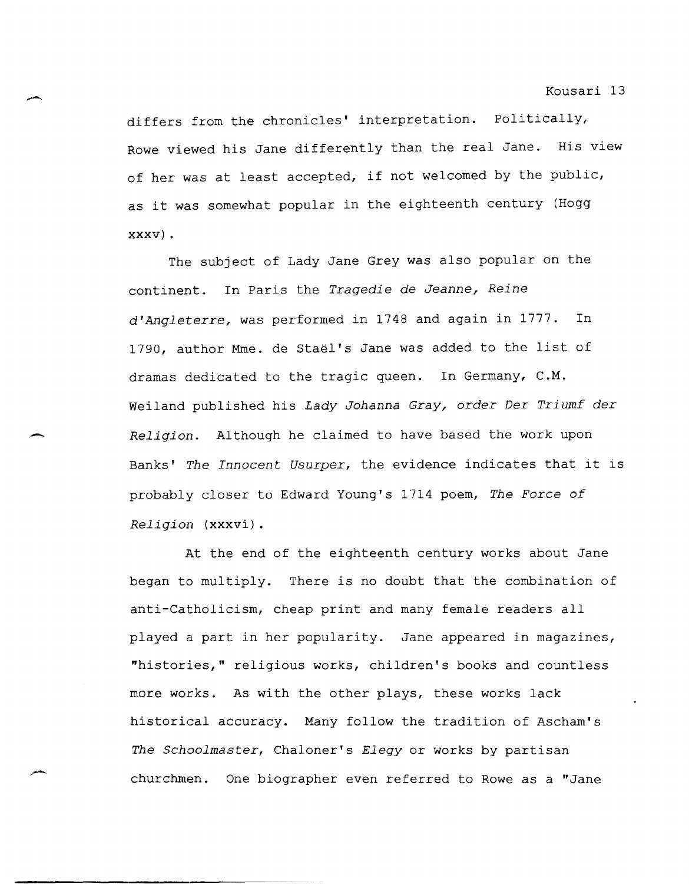differs from the chronicles' interpretation. Politically, Rowe viewed his Jane differently than the real Jane. His view of her was at least accepted, if not welcomed by the public, as it was somewhat popular in the eighteenth century (Hogg xxxv) .

The subject of Lady Jane Grey was also popular on the continent. In Paris the *Tragedie* de *Jeanne, Reine d'Angleterre,* was performed in 1748 and again in 1777. In 1790, author Mme. de Stael's Jane was added to the list of dramas dedicated to the tragic queen. In Germany, C.M. Weiland published his *Lady Johanna Gray, order Der Triumf der Religion.* Although he claimed to have based the work upon Banks' *The Innocent Usurper,* the evidence indicates that it is probably closer to Edward Young's 1714 poem, *The Force of Religion* (xxxvi).

At the end of the eighteenth century works about Jane began to multiply. There is no doubt that the combination of anti-Catholicism, cheap print and many female readers all played a part in her popularity. Jane appeared in magazines, "histories," religious works, children's books and countless more works. As with the other plays, these works lack historical accuracy. Many follow the tradition of Ascham's *The Schoolmaster,* Chaloner's *Elegy* or works by partisan churchmen. One biographer even referred to Rowe as a "Jane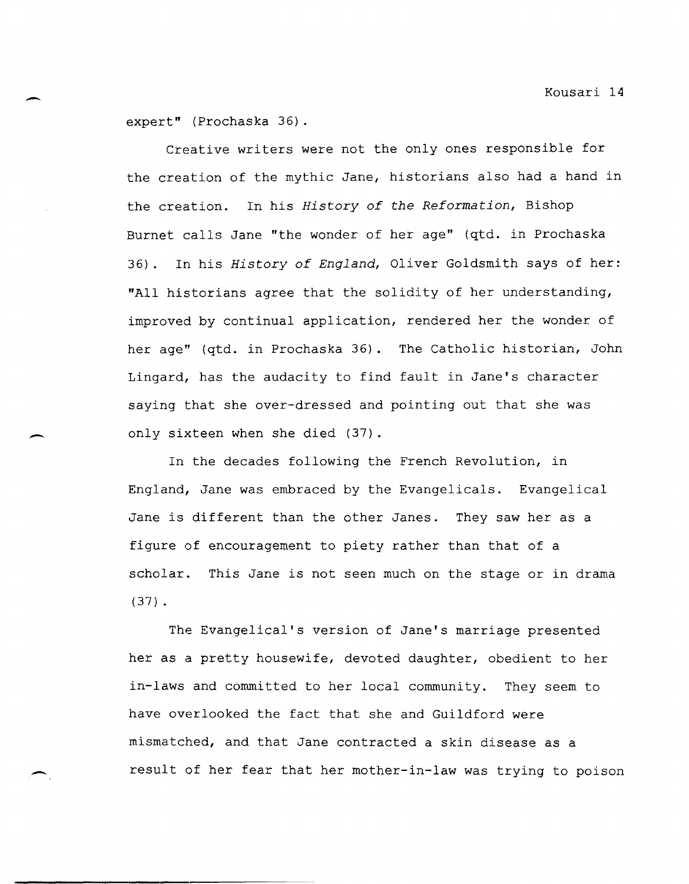expert" (Prochaska 36).

-

-

Creative writers were not the only ones responsible for the creation of the mythic Jane, historians also had a hand in the creation. In his *History of the Reformation,* Bishop Burnet calls Jane "the wonder of her age" (qtd. in Prochaska 36). In his *History of England,* Oliver Goldsmith says of her: "All historians agree that the solidity of her understanding, improved by continual application, rendered her the wonder of her age" (qtd. in Prochaska 36). The Catholic historian, John Lingard, has the audacity to find fault in Jane's character saying that she over-dressed and pointing out that she was only sixteen when she died (37).

In the decades following the French Revolution, in England, Jane was embraced by the Evangelicals. Evangelical Jane is different than the other Janes. They saw her as a figure of encouragement to piety rather than that of a scholar. This Jane is not seen much on the stage or in drama (37) .

The Evangelical's version of Jane's marriage presented her as a pretty housewife, devoted daughter, obedient to her in-laws and committed to her local community. They seem to have overlooked the fact that she and Guildford were mismatched, and that Jane contracted a skin disease as a result of her fear that her mother-in-law was trying to poison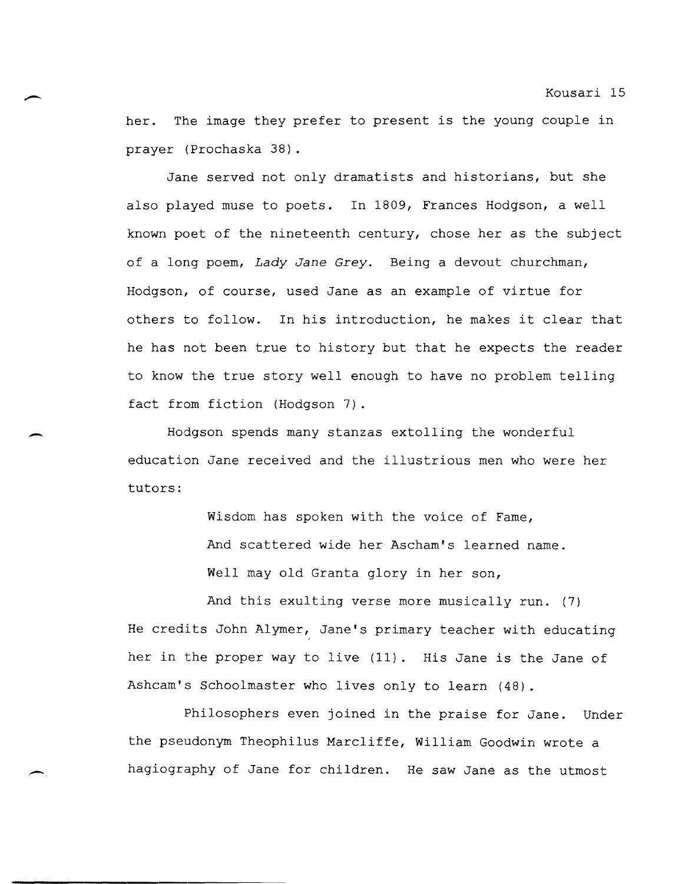her. The image they prefer to present is the young couple in prayer (Prochaska 38) .

Jane served not only dramatists and historians, but she also played muse to poets. In 1809, Frances Hodgson, a well known poet of the nineteenth century, chose her as the subject of a long poem, *Lady Jane Grey.* Being a devout churchman, Hodgson, of course, used Jane as an example of virtue for others to follow. In his introduction, he makes it clear that he has not been true to history but that he expects the reader to know the true story well enough to have no problem telling fact from fiction (Hodgson 7).

Hodgson spends many stanzas extolling the wonderful education Jane received and the illustrious men who were her tutors:

-

 $\rightarrow$ 

Wisdom has spoken with the voice of Fame, And scattered wide her Ascham's learned name. Well may old Granta glory in her son,

And this exulting verse more musically run. (7) He credits John Alymer, Jane's primary teacher with educating her in the proper way to live (11). His Jane is the Jane of Ashcam's Schoolmaster who lives only to learn (48).

Philosophers even joined in the praise for Jane. Under the pseudonym Theophilus Marcliffe, William Goodwin wrote a hagiography of Jane for children. He saw Jane as the utmost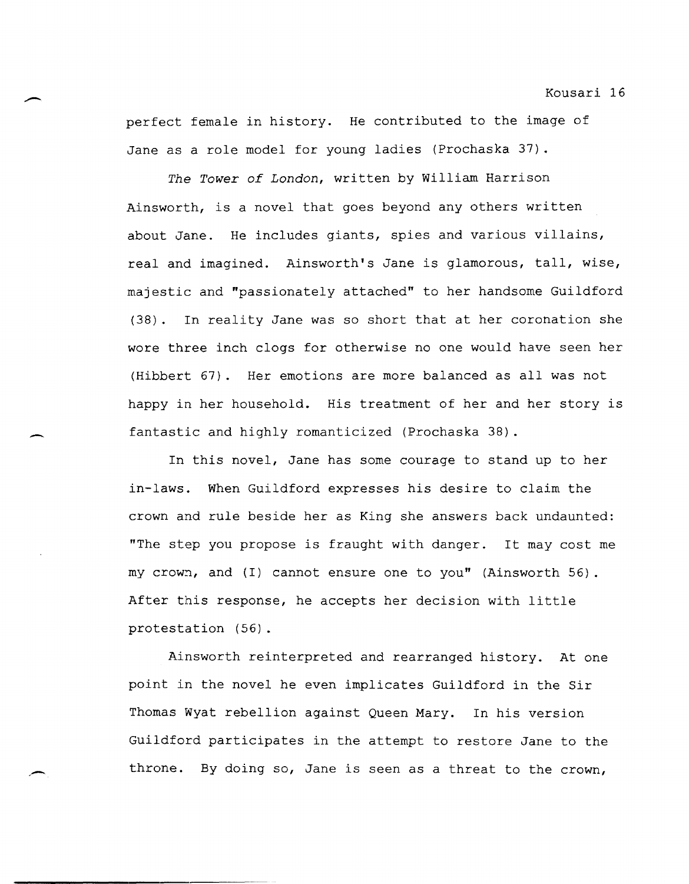perfect female in history. He contributed to the image of Jane as a role model for young ladies (Prochaska 37) .

*The Tower of* London, written by William Harrison Ainsworth, is a novel that goes beyond any others written about Jane. He includes giants, spies and various villains, real and imagined. Ainsworth's Jane is glamorous, tall, wise, majestic and "passionately attached" to her handsome Guildford (38). In reality Jane was so short that at her coronation she wore three inch clogs for otherwise no one would have seen her (Hibbert 67). Her emotions are more balanced as all was not happy in her household. His treatment of her and her story is fantastic and highly romanticized (Prochaska 38).

In this novel, Jane has some courage to stand up to her in-laws. When Guildford expresses his desire to claim the crown and rule beside her as King she answers back undaunted: "The step you propose is fraught with danger. It may cost me my crown, and (I) cannot ensure one to you" (Ainsworth 56). After this response, he accepts her decision with little protestation (56).

Ainsworth reinterpreted and rearranged history. At one point in the novel he even implicates Guildford in the Sir Thomas Wyat rebellion against Queen Mary. In his version Guildford participates in the attempt to restore Jane to the throne. By doing so, Jane is seen as a threat to the crown,

,-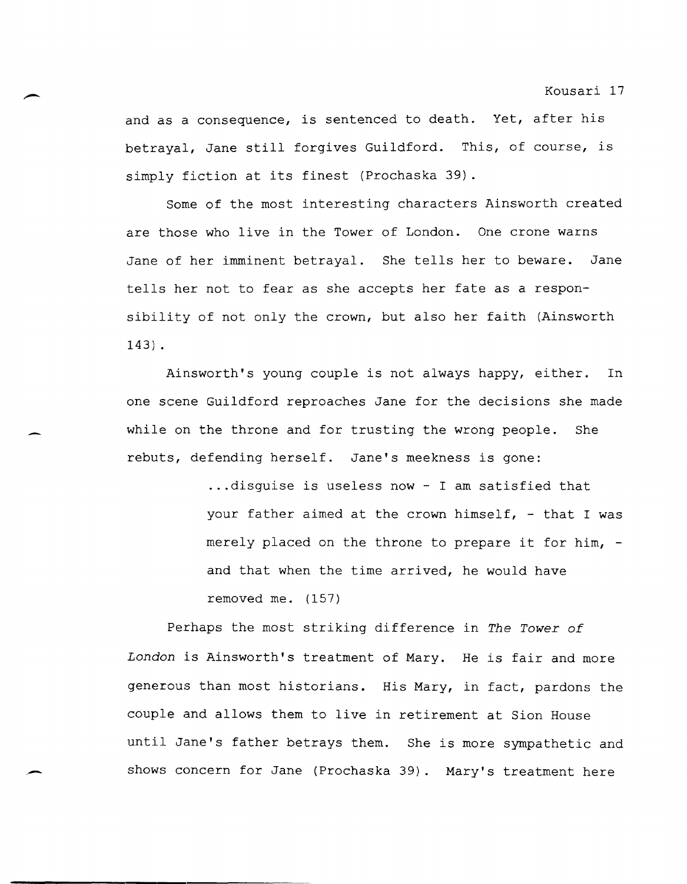and as a consequence, is sentenced to death. Yet, after his betrayal, Jane still forgives Guildford. This, of course, is simply fiction at its finest (Prochaska 39) .

Some of the most interesting characters Ainsworth created are those who live in the Tower of London. One crone warns Jane of her imminent betrayal. She tells her to beware. Jane tells her not to fear as she accepts her fate as a responsibility of not only the crown, but also her faith (Ainsworth 143) •

Ainsworth's young couple is not always happy, either. In one scene Guildford reproaches Jane for the decisions she made while on the throne and for trusting the wrong people. She rebuts, defending herself. Jane's meekness is gone:

> ... disguise is useless now - I am satisfied that your father aimed at the crown himself, - that I was merely placed on the throne to prepare it for him, and that when the time arrived, he would have removed me. (157)

Perhaps the most striking difference in *The Tower of London* is Ainsworth's treatment of Mary. He is fair and more generous than most historians. His Mary, in fact, pardons the couple and allows them to live in retirement at Sion House until Jane's father betrays them. She is more sympathetic and shows concern for Jane (Prochaska 39). Mary's treatment here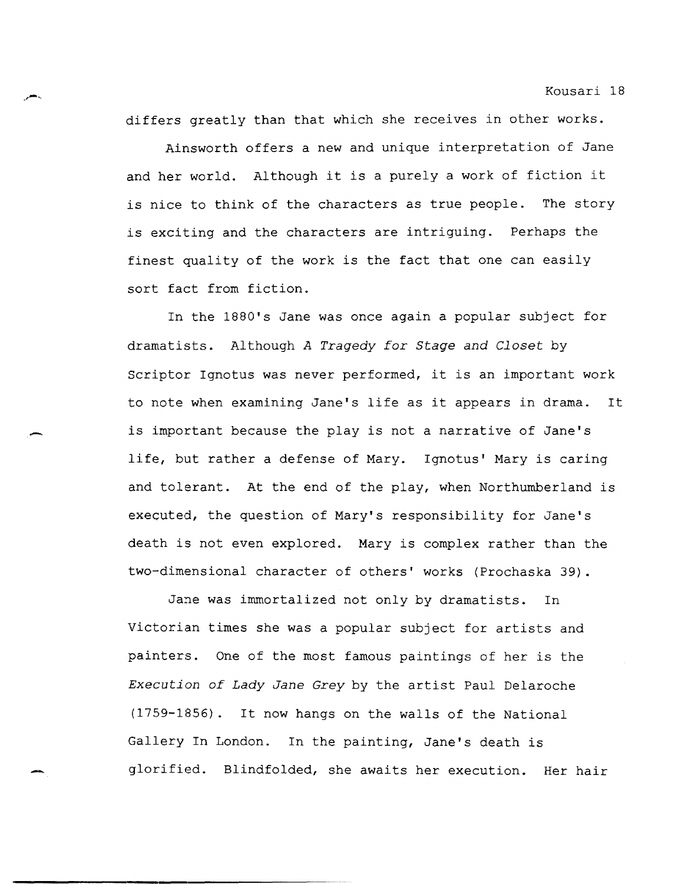differs greatly than that which she receives in other works.

Ainsworth offers a new and unique interpretation of Jane and her world. Although it is a purely a work of fiction it is nice to think of the characters as true people. The story is exciting and the characters are intriguing. Perhaps the finest quality of the work is the fact that one can easily sort fact from fiction.

In the 1880's Jane was once again a popular subject for dramatists. Although *A Tragedy for Stage and Closet* by Scriptor Ignotus was never performed, it is an important work to note when examining Jane's life as it appears in drama. It is important because the play is not a narrative of Jane's life, but rather a defense of Mary. Ignotus' Mary is caring and tolerant. At the end of the play, when Northumberland is executed, the question of Mary's responsibility for Jane's death is not even explored. Mary is complex rather than the two-dimensional character of others' works (Prochaska 39).

,-

Jane was immortalized not only by dramatists. In Victorian times she was a popular subject for artists and painters. One of the most famous paintings of her is the *Execution of Lady Jane Grey* by the artist Paul Delaroche (1759-1856). It now hangs on the walls of the National Gallery In London. In the painting, Jane's death is glorified. Blindfolded, she awaits her execution. Her hair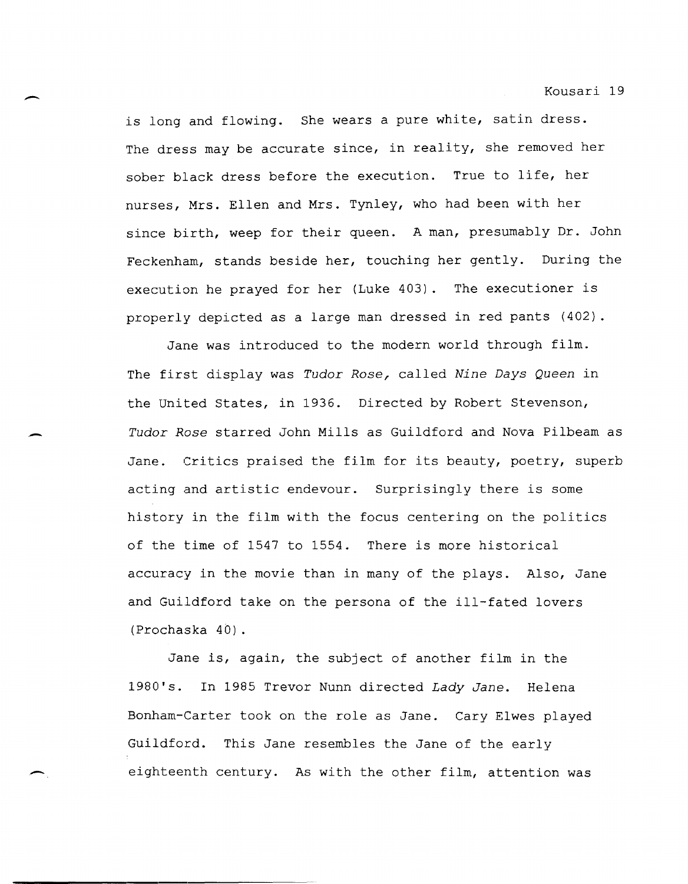is long and flowing. She wears a pure white, satin dress. The dress may be accurate since, in reality, she removed her sober black dress before the execution. True to life, her nurses, Mrs. Ellen and Mrs. Tynley, who had been with her since birth, weep for their queen. A man, presumably Dr. John Feckenham, stands beside her, touching her gently. During the execution he prayed for her (Luke 403). The executioner is properly depicted as a large man dressed in red pants (402).

-

-

Jane was introduced to the modern world through film. The first display was *Tudor Rose,* called *Nine Days Queen* in the United States, in 1936. Directed by Robert Stevenson, *Tudor Rose* starred John Mills as Guildford and Nova Pilbeam as Jane. Critics praised the film for its beauty, poetry, superb acting and artistic endevour. Surprisingly there is some history in the film with the focus centering on the politics of the time of 1547 to 1554. There is more historical accuracy in the movie than in many of the plays. Also, Jane and Guildford take on the persona of the ill-fated lovers (Prochaska 40) .

Jane is, again, the subject of another film in the 1980's. In 1985 Trevor Nunn directed *Lady Jane.* Helena Bonham-Carter took on the role as Jane. Cary Elwes played Guildford. This Jane resembles the Jane of the early eighteenth century. As with the other film, attention was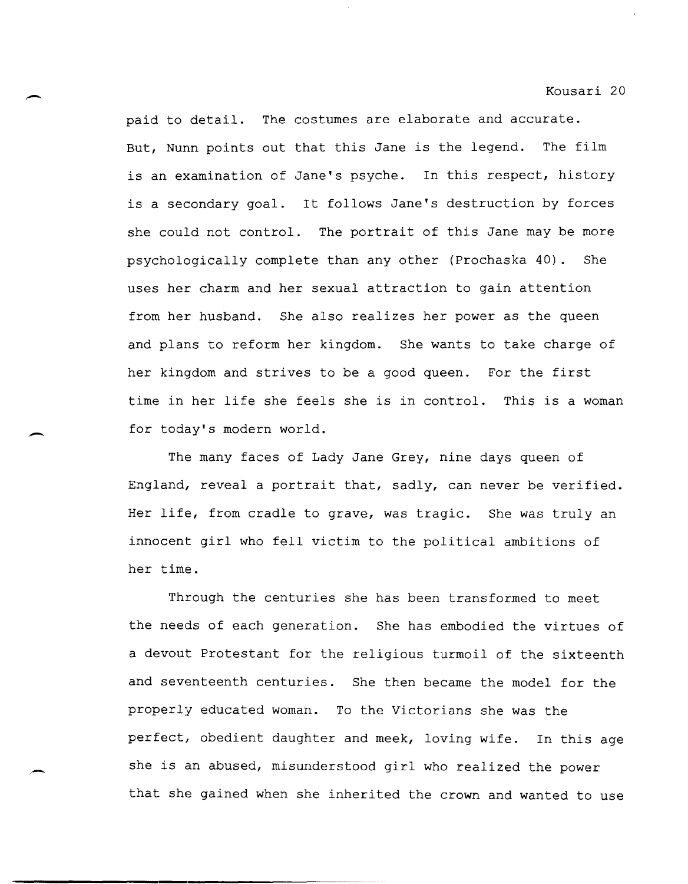paid to detail. The costumes are elaborate and accurate. But, Nunn points out that this Jane is the legend. The film is an examination of Jane's psyche. In this respect, history is a secondary goal. It follows Jane's destruction by forces she could not control. The portrait of this Jane may be more psychologically complete than any other (Prochaska 40). She uses her charm and her sexual attraction to gain attention from her husband. She also realizes her power as the queen and plans to reform her kingdom. She wants to take charge of her kingdom and strives to be a good queen. For the first time in her life she feels she is in control. This is a woman for today's modern world.

The many faces of Lady Jane Grey, nine days queen of England, reveal a portrait that, sadly, can never be verified. Her life, from cradle to grave, was tragic. She was truly an innocent girl who fell victim to the political ambitions of her time.

Through the centuries she has been transformed to meet the needs of each generation. She has embodied the virtues of a devout Protestant for the religious turmoil of the sixteenth and seventeenth centuries. She then became the model for the properly educated woman. To the Victorians she was the perfect, obedient daughter and meek, loving wife. In this age she is an abused, misunderstood girl who realized the power that she gained when she inherited the crown and wanted to use

**---------------------------------------------------**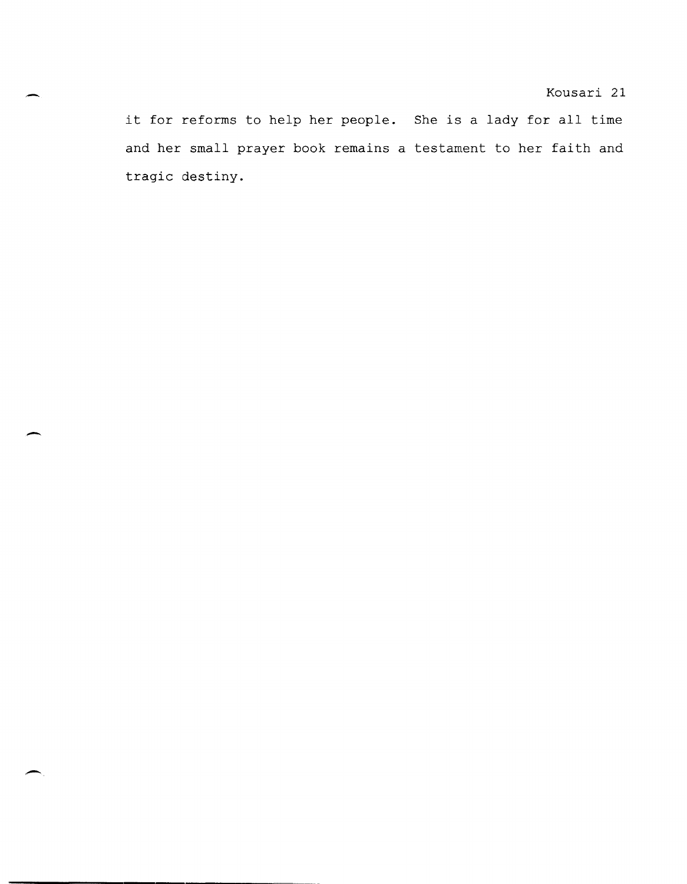it for reforms to help her people. She is a lady for all time and her small prayer book remains a testament to her faith and tragic destiny.

-

 $\overline{\phantom{0}}$